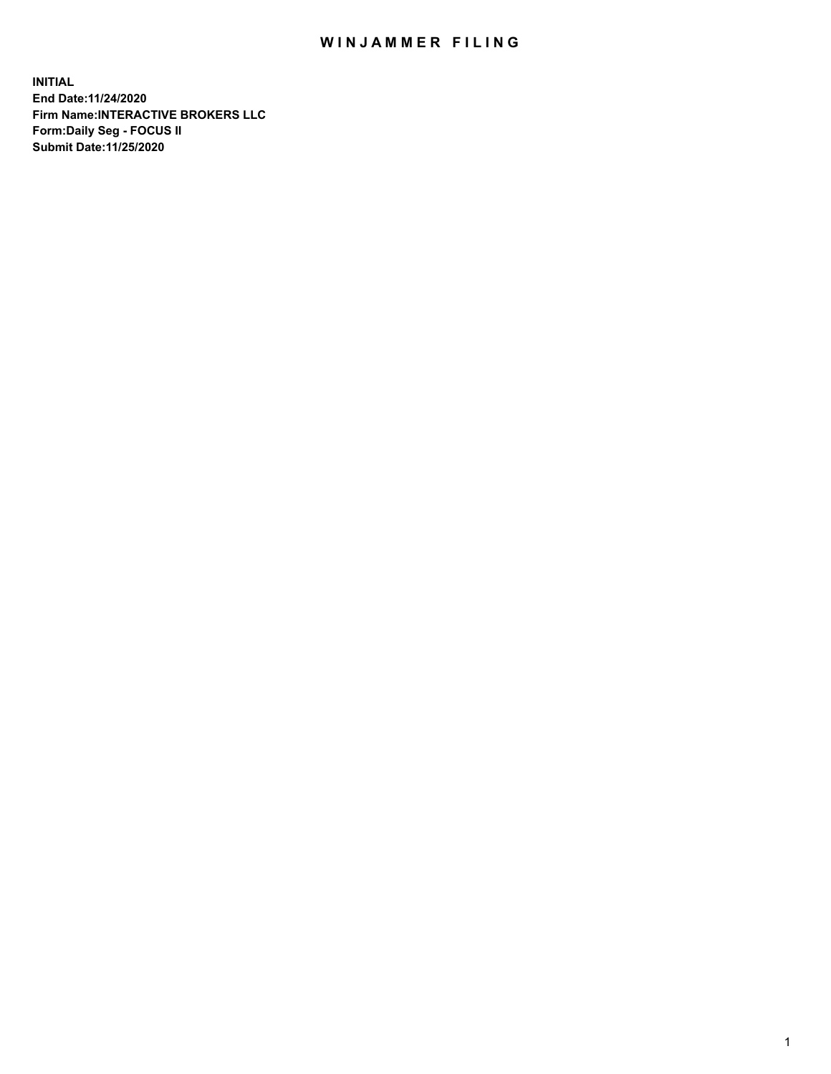## WIN JAMMER FILING

**INITIAL End Date:11/24/2020 Firm Name:INTERACTIVE BROKERS LLC Form:Daily Seg - FOCUS II Submit Date:11/25/2020**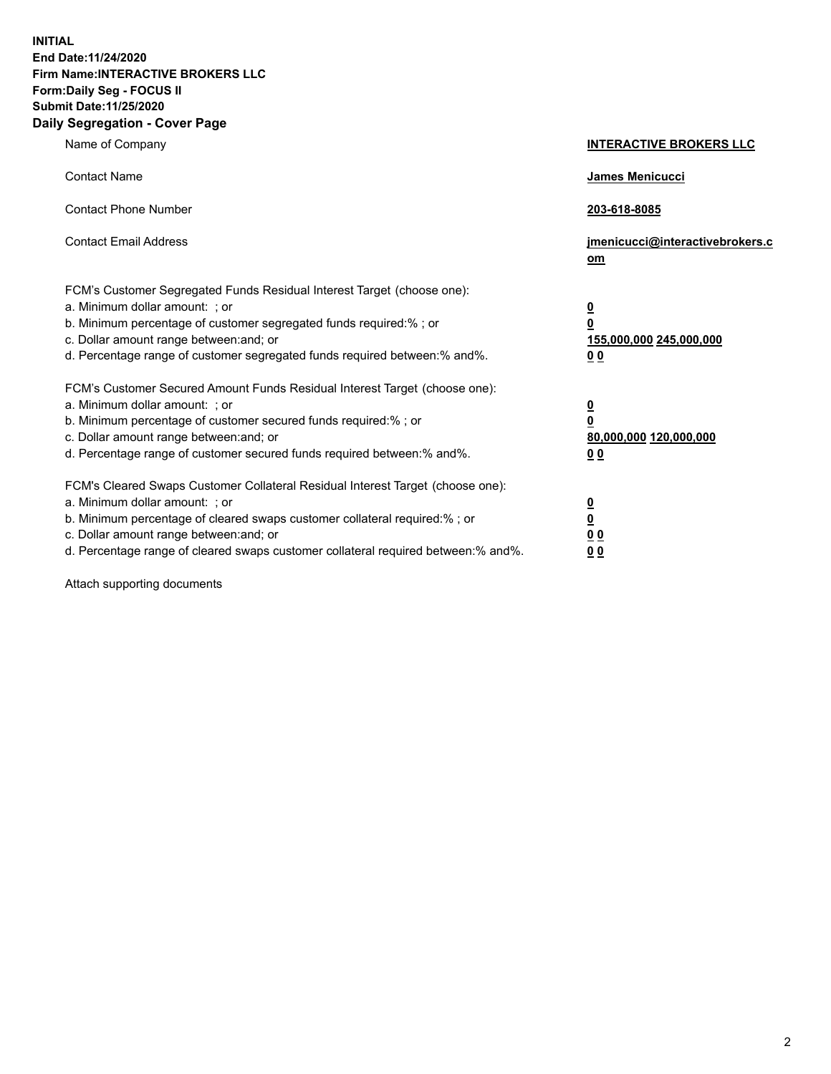**INITIAL End Date:11/24/2020 Firm Name:INTERACTIVE BROKERS LLC Form:Daily Seg - FOCUS II Submit Date:11/25/2020 Daily Segregation - Cover Page**

| Name of Company                                                                                                                                                                                                                                                                                                                | <b>INTERACTIVE BROKERS LLC</b>                                                         |
|--------------------------------------------------------------------------------------------------------------------------------------------------------------------------------------------------------------------------------------------------------------------------------------------------------------------------------|----------------------------------------------------------------------------------------|
| <b>Contact Name</b>                                                                                                                                                                                                                                                                                                            | James Menicucci                                                                        |
| <b>Contact Phone Number</b>                                                                                                                                                                                                                                                                                                    | 203-618-8085                                                                           |
| <b>Contact Email Address</b>                                                                                                                                                                                                                                                                                                   | jmenicucci@interactivebrokers.c<br>$om$                                                |
| FCM's Customer Segregated Funds Residual Interest Target (choose one):<br>a. Minimum dollar amount: ; or<br>b. Minimum percentage of customer segregated funds required:% ; or<br>c. Dollar amount range between: and; or<br>d. Percentage range of customer segregated funds required between:% and%.                         | $\overline{\mathbf{0}}$<br>$\overline{\mathbf{0}}$<br>155,000,000 245,000,000<br>00    |
| FCM's Customer Secured Amount Funds Residual Interest Target (choose one):<br>a. Minimum dollar amount: ; or<br>b. Minimum percentage of customer secured funds required:%; or<br>c. Dollar amount range between: and; or<br>d. Percentage range of customer secured funds required between:% and%.                            | $\overline{\mathbf{0}}$<br>$\pmb{0}$<br>80,000,000 120,000,000<br>0 <sub>0</sub>       |
| FCM's Cleared Swaps Customer Collateral Residual Interest Target (choose one):<br>a. Minimum dollar amount: ; or<br>b. Minimum percentage of cleared swaps customer collateral required:% ; or<br>c. Dollar amount range between: and; or<br>d. Percentage range of cleared swaps customer collateral required between:% and%. | $\overline{\mathbf{0}}$<br>$\overline{\mathbf{0}}$<br>0 <sub>0</sub><br>0 <sub>0</sub> |

Attach supporting documents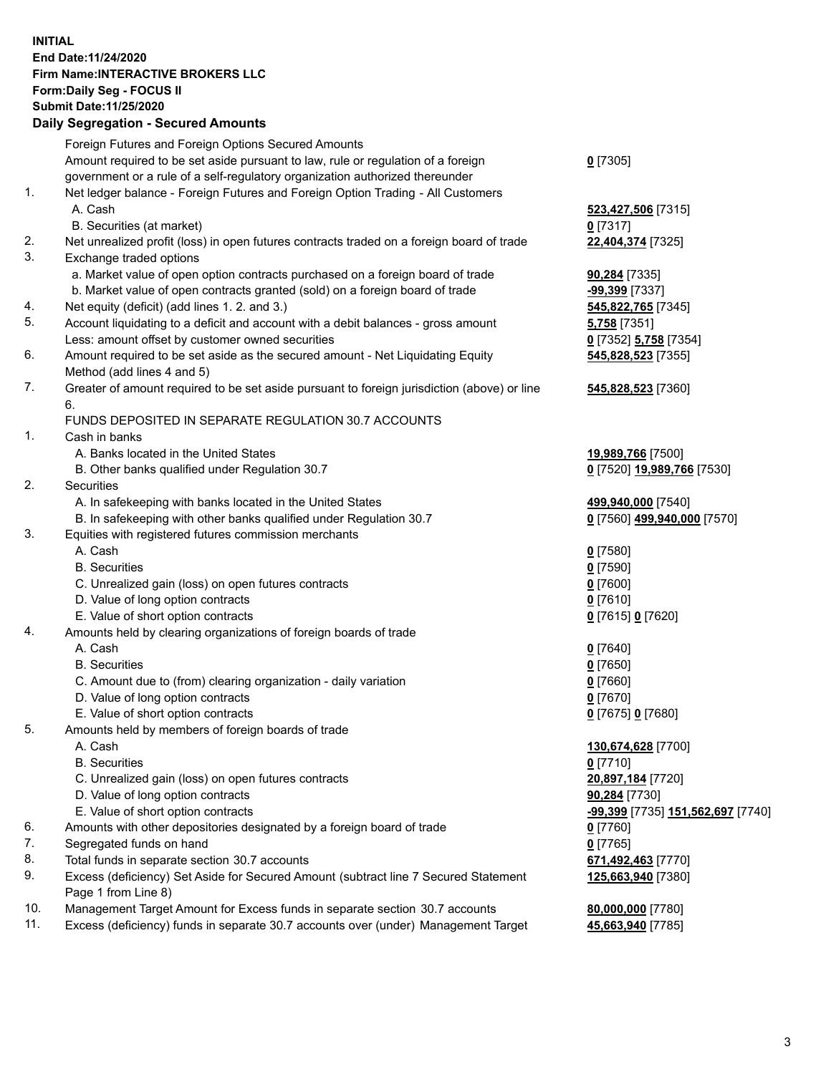**INITIAL End Date:11/24/2020 Firm Name:INTERACTIVE BROKERS LLC Form:Daily Seg - FOCUS II Submit Date:11/25/2020 Daily Segregation - Secured Amounts**

|     | Foreign Futures and Foreign Options Secured Amounts                                         |                                                 |
|-----|---------------------------------------------------------------------------------------------|-------------------------------------------------|
|     | Amount required to be set aside pursuant to law, rule or regulation of a foreign            | $0$ [7305]                                      |
|     | government or a rule of a self-regulatory organization authorized thereunder                |                                                 |
| 1.  | Net ledger balance - Foreign Futures and Foreign Option Trading - All Customers             |                                                 |
|     | A. Cash                                                                                     | 523,427,506 [7315]                              |
|     | B. Securities (at market)                                                                   | $0$ [7317]                                      |
| 2.  | Net unrealized profit (loss) in open futures contracts traded on a foreign board of trade   | 22,404,374 [7325]                               |
| 3.  | Exchange traded options                                                                     |                                                 |
|     | a. Market value of open option contracts purchased on a foreign board of trade              | 90,284 [7335]                                   |
|     | b. Market value of open contracts granted (sold) on a foreign board of trade                | -99,399 [7337]                                  |
| 4.  | Net equity (deficit) (add lines 1. 2. and 3.)                                               | 545,822,765 [7345]                              |
| 5.  | Account liquidating to a deficit and account with a debit balances - gross amount           | <b>5,758</b> [7351]                             |
|     | Less: amount offset by customer owned securities                                            | 0 [7352] 5,758 [7354]                           |
| 6.  | Amount required to be set aside as the secured amount - Net Liquidating Equity              | 545,828,523 [7355]                              |
|     | Method (add lines 4 and 5)                                                                  |                                                 |
| 7.  | Greater of amount required to be set aside pursuant to foreign jurisdiction (above) or line | 545,828,523 [7360]                              |
|     | 6.                                                                                          |                                                 |
|     | FUNDS DEPOSITED IN SEPARATE REGULATION 30.7 ACCOUNTS                                        |                                                 |
| 1.  | Cash in banks                                                                               |                                                 |
|     | A. Banks located in the United States                                                       | 19,989,766 [7500]                               |
|     | B. Other banks qualified under Regulation 30.7                                              | 0 [7520] 19,989,766 [7530]                      |
| 2.  | Securities                                                                                  |                                                 |
|     | A. In safekeeping with banks located in the United States                                   | 499,940,000 [7540]                              |
|     | B. In safekeeping with other banks qualified under Regulation 30.7                          | 0 [7560] 499,940,000 [7570]                     |
| 3.  | Equities with registered futures commission merchants                                       |                                                 |
|     | A. Cash                                                                                     | $0$ [7580]                                      |
|     | <b>B.</b> Securities                                                                        | $0$ [7590]                                      |
|     | C. Unrealized gain (loss) on open futures contracts                                         | $0$ [7600]                                      |
|     | D. Value of long option contracts                                                           | $0$ [7610]                                      |
|     | E. Value of short option contracts                                                          | 0 [7615] 0 [7620]                               |
| 4.  | Amounts held by clearing organizations of foreign boards of trade                           |                                                 |
|     | A. Cash                                                                                     | $Q$ [7640]                                      |
|     | <b>B.</b> Securities                                                                        | $0$ [7650]                                      |
|     | C. Amount due to (from) clearing organization - daily variation                             | $0$ [7660]                                      |
|     | D. Value of long option contracts                                                           | $0$ [7670]                                      |
|     | E. Value of short option contracts                                                          | 0 [7675] 0 [7680]                               |
| 5.  | Amounts held by members of foreign boards of trade                                          |                                                 |
|     | A. Cash                                                                                     | 130,674,628 [7700]                              |
|     | <b>B.</b> Securities                                                                        | $0$ [7710]                                      |
|     | C. Unrealized gain (loss) on open futures contracts                                         | 20,897,184 [7720]                               |
|     | D. Value of long option contracts                                                           | 90,284 [7730]                                   |
|     | E. Value of short option contracts                                                          | <u>-99,399</u> [7735] <u>151,562,697</u> [7740] |
| 6.  | Amounts with other depositories designated by a foreign board of trade                      | $0$ [7760]                                      |
| 7.  | Segregated funds on hand                                                                    | $0$ [7765]                                      |
| 8.  | Total funds in separate section 30.7 accounts                                               | 671,492,463 [7770]                              |
| 9.  | Excess (deficiency) Set Aside for Secured Amount (subtract line 7 Secured Statement         | 125,663,940 [7380]                              |
|     | Page 1 from Line 8)                                                                         |                                                 |
| 10. | Management Target Amount for Excess funds in separate section 30.7 accounts                 | 80,000,000 [7780]                               |
| 11. | Excess (deficiency) funds in separate 30.7 accounts over (under) Management Target          | 45,663,940 [7785]                               |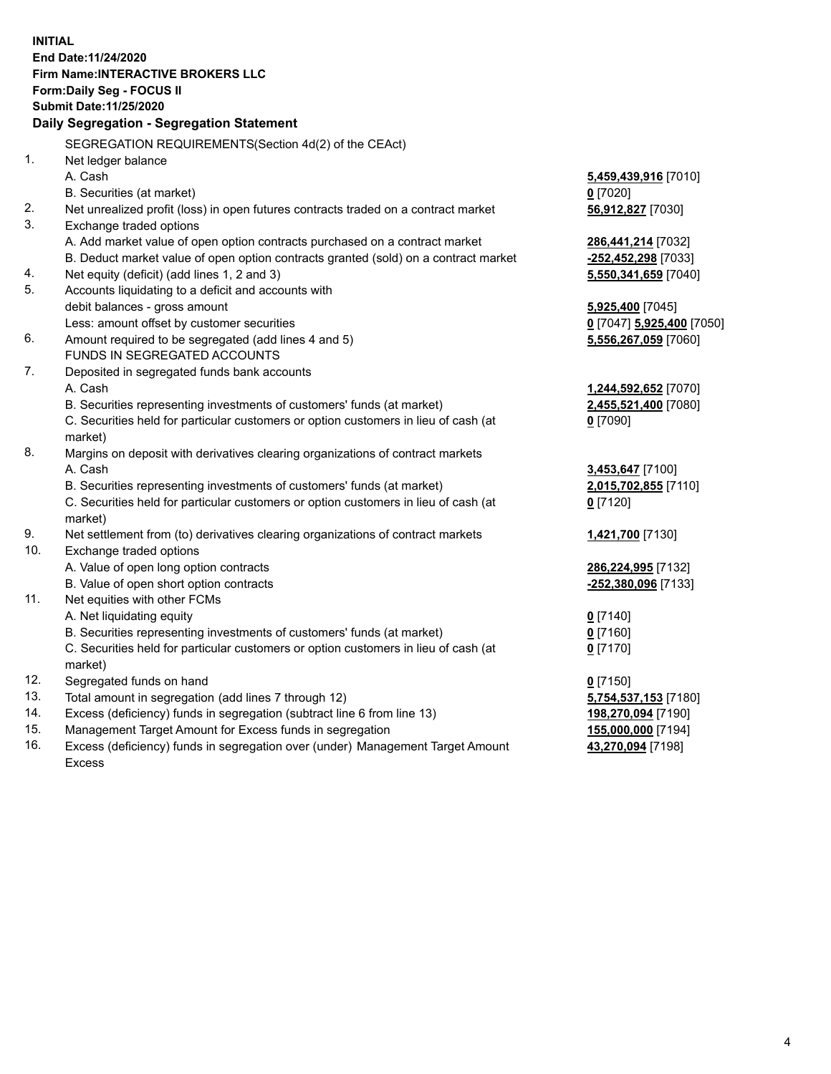**INITIAL End Date:11/24/2020 Firm Name:INTERACTIVE BROKERS LLC Form:Daily Seg - FOCUS II Submit Date:11/25/2020 Daily Segregation - Segregation Statement** SEGREGATION REQUIREMENTS(Section 4d(2) of the CEAct) 1. Net ledger balance A. Cash **5,459,439,916** [7010] B. Securities (at market) **0** [7020] 2. Net unrealized profit (loss) in open futures contracts traded on a contract market **56,912,827** [7030] 3. Exchange traded options A. Add market value of open option contracts purchased on a contract market **286,441,214** [7032] B. Deduct market value of open option contracts granted (sold) on a contract market **-252,452,298** [7033] 4. Net equity (deficit) (add lines 1, 2 and 3) **5,550,341,659** [7040] 5. Accounts liquidating to a deficit and accounts with debit balances - gross amount **5,925,400** [7045] Less: amount offset by customer securities **0** [7047] **5,925,400** [7050] 6. Amount required to be segregated (add lines 4 and 5) **5,556,267,059** [7060] FUNDS IN SEGREGATED ACCOUNTS 7. Deposited in segregated funds bank accounts A. Cash **1,244,592,652** [7070] B. Securities representing investments of customers' funds (at market) **2,455,521,400** [7080] C. Securities held for particular customers or option customers in lieu of cash (at market) **0** [7090] 8. Margins on deposit with derivatives clearing organizations of contract markets A. Cash **3,453,647** [7100] B. Securities representing investments of customers' funds (at market) **2,015,702,855** [7110] C. Securities held for particular customers or option customers in lieu of cash (at market) **0** [7120] 9. Net settlement from (to) derivatives clearing organizations of contract markets **1,421,700** [7130] 10. Exchange traded options A. Value of open long option contracts **286,224,995** [7132] B. Value of open short option contracts **-252,380,096** [7133] 11. Net equities with other FCMs A. Net liquidating equity **0** [7140] B. Securities representing investments of customers' funds (at market) **0** [7160] C. Securities held for particular customers or option customers in lieu of cash (at market) **0** [7170] 12. Segregated funds on hand **0** [7150] 13. Total amount in segregation (add lines 7 through 12) **5,754,537,153** [7180] 14. Excess (deficiency) funds in segregation (subtract line 6 from line 13) **198,270,094** [7190] 15. Management Target Amount for Excess funds in segregation **155,000,000** [7194] 16. Excess (deficiency) funds in segregation over (under) Management Target Amount

Excess

**43,270,094** [7198]